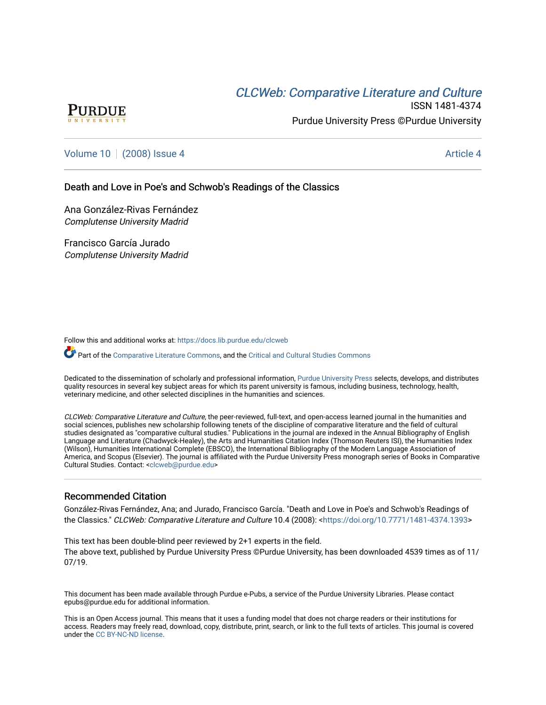# CLCW[eb: Comparative Liter](https://docs.lib.purdue.edu/clcweb)ature and Culture



ISSN 1481-4374 Purdue University Press ©Purdue University

# [Volume 10](https://docs.lib.purdue.edu/clcweb/vol10) | [\(2008\) Issue 4](https://docs.lib.purdue.edu/clcweb/vol10/iss4) Article 4

### Death and Love in Poe's and Schwob's Readings of the Classics

Ana González-Rivas Fernández Complutense University Madrid

Francisco García Jurado Complutense University Madrid

Follow this and additional works at: [https://docs.lib.purdue.edu/clcweb](https://docs.lib.purdue.edu/clcweb?utm_source=docs.lib.purdue.edu%2Fclcweb%2Fvol10%2Fiss4%2F4&utm_medium=PDF&utm_campaign=PDFCoverPages)

Part of the [Comparative Literature Commons,](http://network.bepress.com/hgg/discipline/454?utm_source=docs.lib.purdue.edu%2Fclcweb%2Fvol10%2Fiss4%2F4&utm_medium=PDF&utm_campaign=PDFCoverPages) and the Critical and Cultural Studies Commons

Dedicated to the dissemination of scholarly and professional information, [Purdue University Press](http://www.thepress.purdue.edu/) selects, develops, and distributes quality resources in several key subject areas for which its parent university is famous, including business, technology, health, veterinary medicine, and other selected disciplines in the humanities and sciences.

CLCWeb: Comparative Literature and Culture, the peer-reviewed, full-text, and open-access learned journal in the humanities and social sciences, publishes new scholarship following tenets of the discipline of comparative literature and the field of cultural studies designated as "comparative cultural studies." Publications in the journal are indexed in the Annual Bibliography of English Language and Literature (Chadwyck-Healey), the Arts and Humanities Citation Index (Thomson Reuters ISI), the Humanities Index (Wilson), Humanities International Complete (EBSCO), the International Bibliography of the Modern Language Association of America, and Scopus (Elsevier). The journal is affiliated with the Purdue University Press monograph series of Books in Comparative Cultural Studies. Contact: [<clcweb@purdue.edu](mailto:clcweb@purdue.edu)>

## Recommended Citation

González-Rivas Fernández, Ana; and Jurado, Francisco García. "Death and Love in Poe's and Schwob's Readings of the Classics." CLCWeb: Comparative Literature and Culture 10.4 (2008): [<https://doi.org/10.7771/1481-4374.1393>](https://doi.org/10.7771/1481-4374.1393)

This text has been double-blind peer reviewed by 2+1 experts in the field. The above text, published by Purdue University Press ©Purdue University, has been downloaded 4539 times as of 11/ 07/19.

This document has been made available through Purdue e-Pubs, a service of the Purdue University Libraries. Please contact epubs@purdue.edu for additional information.

This is an Open Access journal. This means that it uses a funding model that does not charge readers or their institutions for access. Readers may freely read, download, copy, distribute, print, search, or link to the full texts of articles. This journal is covered under the [CC BY-NC-ND license.](https://creativecommons.org/licenses/by-nc-nd/4.0/)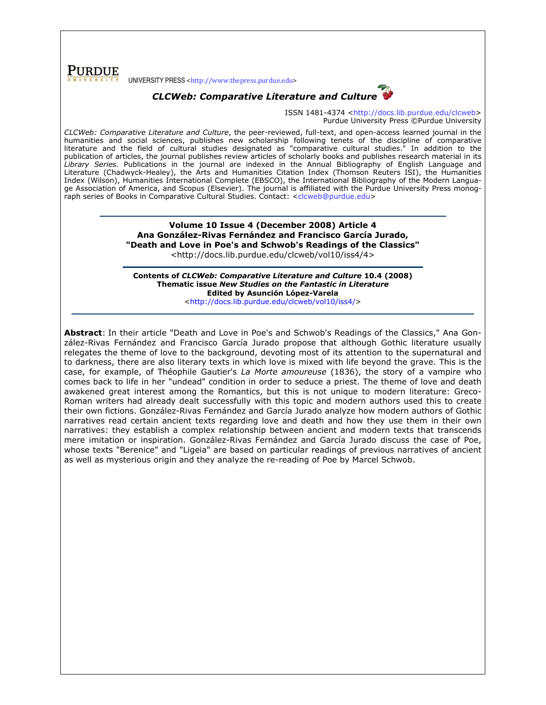**PURDUE** UNIVERSITY PRESS <http://www.thepress.purdue.edu>

# CLCWeb: Comparative Literature and Culture

ISSN 1481-4374 <http://docs.lib.purdue.edu/clcweb> Purdue University Press ©Purdue University

CLCWeb: Comparative Literature and Culture, the peer-reviewed, full-text, and open-access learned journal in the humanities and social sciences, publishes new scholarship following tenets of the discipline of comparative literature and the field of cultural studies designated as "comparative cultural studies." In addition to the publication of articles, the journal publishes review articles of scholarly books and publishes research material in its Library Series. Publications in the journal are indexed in the Annual Bibliography of English Language and Literature (Chadwyck-Healey), the Arts and Humanities Citation Index (Thomson Reuters ISI), the Humanities Index (Wilson), Humanities International Complete (EBSCO), the International Bibliography of the Modern Language Association of America, and Scopus (Elsevier). The journal is affiliated with the Purdue University Press monograph series of Books in Comparative Cultural Studies. Contact: <clcweb@purdue.edu>

> Volume 10 Issue 4 (December 2008) Article 4 Ana González-Rivas Fernández and Francisco García Jurado, "Death and Love in Poe's and Schwob's Readings of the Classics"

<http://docs.lib.purdue.edu/clcweb/vol10/iss4/4>

Contents of CLCWeb: Comparative Literature and Culture 10.4 (2008) Thematic issue New Studies on the Fantastic in Literature Edited by Asunción López-Varela <http://docs.lib.purdue.edu/clcweb/vol10/iss4/>

Abstract: In their article "Death and Love in Poe's and Schwob's Readings of the Classics," Ana González-Rivas Fernández and Francisco García Jurado propose that although Gothic literature usually relegates the theme of love to the background, devoting most of its attention to the supernatural and to darkness, there are also literary texts in which love is mixed with life beyond the grave. This is the case, for example, of Théophile Gautier's La Morte amoureuse (1836), the story of a vampire who comes back to life in her "undead" condition in order to seduce a priest. The theme of love and death awakened great interest among the Romantics, but this is not unique to modern literature: Greco-Roman writers had already dealt successfully with this topic and modern authors used this to create their own fictions. González-Rivas Fernández and García Jurado analyze how modern authors of Gothic narratives read certain ancient texts regarding love and death and how they use them in their own narratives: they establish a complex relationship between ancient and modern texts that transcends mere imitation or inspiration. González-Rivas Fernández and García Jurado discuss the case of Poe, whose texts "Berenice" and "Ligeia" are based on particular readings of previous narratives of ancient as well as mysterious origin and they analyze the re-reading of Poe by Marcel Schwob.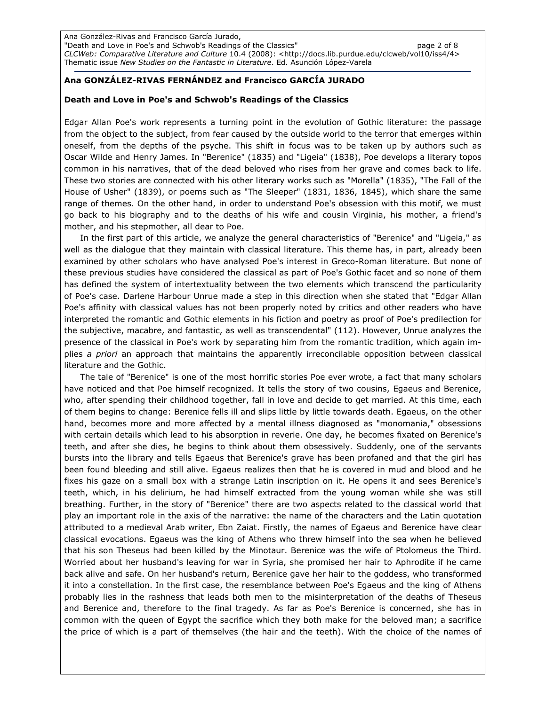Ana González-Rivas and Francisco García Jurado, "Death and Love in Poe's and Schwob's Readings of the Classics" page 2 of 8 CLCWeb: Comparative Literature and Culture 10.4 (2008): <http://docs.lib.purdue.edu/clcweb/vol10/iss4/4> Thematic issue New Studies on the Fantastic in Literature. Ed. Asunción López-Varela

### Ana GONZÁLEZ-RIVAS FERNÁNDEZ and Francisco GARCÍA JURADO

#### Death and Love in Poe's and Schwob's Readings of the Classics

Edgar Allan Poe's work represents a turning point in the evolution of Gothic literature: the passage from the object to the subject, from fear caused by the outside world to the terror that emerges within oneself, from the depths of the psyche. This shift in focus was to be taken up by authors such as Oscar Wilde and Henry James. In "Berenice" (1835) and "Ligeia" (1838), Poe develops a literary topos common in his narratives, that of the dead beloved who rises from her grave and comes back to life. These two stories are connected with his other literary works such as "Morella" (1835), "The Fall of the House of Usher" (1839), or poems such as "The Sleeper" (1831, 1836, 1845), which share the same range of themes. On the other hand, in order to understand Poe's obsession with this motif, we must go back to his biography and to the deaths of his wife and cousin Virginia, his mother, a friend's mother, and his stepmother, all dear to Poe.

In the first part of this article, we analyze the general characteristics of "Berenice" and "Ligeia," as well as the dialogue that they maintain with classical literature. This theme has, in part, already been examined by other scholars who have analysed Poe's interest in Greco-Roman literature. But none of these previous studies have considered the classical as part of Poe's Gothic facet and so none of them has defined the system of intertextuality between the two elements which transcend the particularity of Poe's case. Darlene Harbour Unrue made a step in this direction when she stated that "Edgar Allan Poe's affinity with classical values has not been properly noted by critics and other readers who have interpreted the romantic and Gothic elements in his fiction and poetry as proof of Poe's predilection for the subjective, macabre, and fantastic, as well as transcendental" (112). However, Unrue analyzes the presence of the classical in Poe's work by separating him from the romantic tradition, which again implies a priori an approach that maintains the apparently irreconcilable opposition between classical literature and the Gothic.

The tale of "Berenice" is one of the most horrific stories Poe ever wrote, a fact that many scholars have noticed and that Poe himself recognized. It tells the story of two cousins, Egaeus and Berenice, who, after spending their childhood together, fall in love and decide to get married. At this time, each of them begins to change: Berenice fells ill and slips little by little towards death. Egaeus, on the other hand, becomes more and more affected by a mental illness diagnosed as "monomania," obsessions with certain details which lead to his absorption in reverie. One day, he becomes fixated on Berenice's teeth, and after she dies, he begins to think about them obsessively. Suddenly, one of the servants bursts into the library and tells Egaeus that Berenice's grave has been profaned and that the girl has been found bleeding and still alive. Egaeus realizes then that he is covered in mud and blood and he fixes his gaze on a small box with a strange Latin inscription on it. He opens it and sees Berenice's teeth, which, in his delirium, he had himself extracted from the young woman while she was still breathing. Further, in the story of "Berenice" there are two aspects related to the classical world that play an important role in the axis of the narrative: the name of the characters and the Latin quotation attributed to a medieval Arab writer, Ebn Zaiat. Firstly, the names of Egaeus and Berenice have clear classical evocations. Egaeus was the king of Athens who threw himself into the sea when he believed that his son Theseus had been killed by the Minotaur. Berenice was the wife of Ptolomeus the Third. Worried about her husband's leaving for war in Syria, she promised her hair to Aphrodite if he came back alive and safe. On her husband's return, Berenice gave her hair to the goddess, who transformed it into a constellation. In the first case, the resemblance between Poe's Egaeus and the king of Athens probably lies in the rashness that leads both men to the misinterpretation of the deaths of Theseus and Berenice and, therefore to the final tragedy. As far as Poe's Berenice is concerned, she has in common with the queen of Egypt the sacrifice which they both make for the beloved man; a sacrifice the price of which is a part of themselves (the hair and the teeth). With the choice of the names of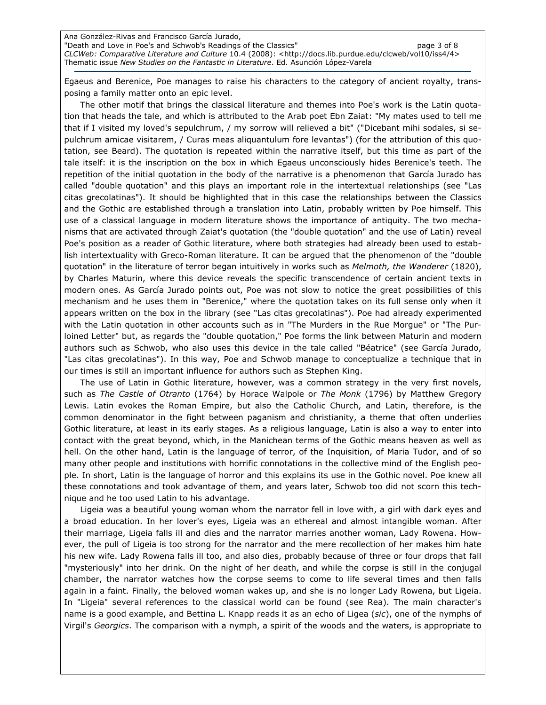Ana González-Rivas and Francisco García Jurado, "Death and Love in Poe's and Schwob's Readings of the Classics" page 3 of 8 CLCWeb: Comparative Literature and Culture 10.4 (2008): <http://docs.lib.purdue.edu/clcweb/vol10/iss4/4> Thematic issue New Studies on the Fantastic in Literature. Ed. Asunción López-Varela

Egaeus and Berenice, Poe manages to raise his characters to the category of ancient royalty, transposing a family matter onto an epic level.

The other motif that brings the classical literature and themes into Poe's work is the Latin quotation that heads the tale, and which is attributed to the Arab poet Ebn Zaiat: "My mates used to tell me that if I visited my loved's sepulchrum, / my sorrow will relieved a bit" ("Dicebant mihi sodales, si sepulchrum amicae visitarem, / Curas meas aliquantulum fore levantas") (for the attribution of this quotation, see Beard). The quotation is repeated within the narrative itself, but this time as part of the tale itself: it is the inscription on the box in which Egaeus unconsciously hides Berenice's teeth. The repetition of the initial quotation in the body of the narrative is a phenomenon that García Jurado has called "double quotation" and this plays an important role in the intertextual relationships (see "Las citas grecolatinas"). It should be highlighted that in this case the relationships between the Classics and the Gothic are established through a translation into Latin, probably written by Poe himself. This use of a classical language in modern literature shows the importance of antiquity. The two mechanisms that are activated through Zaiat's quotation (the "double quotation" and the use of Latin) reveal Poe's position as a reader of Gothic literature, where both strategies had already been used to establish intertextuality with Greco-Roman literature. It can be argued that the phenomenon of the "double quotation" in the literature of terror began intuitively in works such as Melmoth, the Wanderer (1820), by Charles Maturin, where this device reveals the specific transcendence of certain ancient texts in modern ones. As García Jurado points out, Poe was not slow to notice the great possibilities of this mechanism and he uses them in "Berenice," where the quotation takes on its full sense only when it appears written on the box in the library (see "Las citas grecolatinas"). Poe had already experimented with the Latin quotation in other accounts such as in "The Murders in the Rue Morgue" or "The Purloined Letter" but, as regards the "double quotation," Poe forms the link between Maturin and modern authors such as Schwob, who also uses this device in the tale called "Béatrice" (see García Jurado, "Las citas grecolatinas"). In this way, Poe and Schwob manage to conceptualize a technique that in our times is still an important influence for authors such as Stephen King.

The use of Latin in Gothic literature, however, was a common strategy in the very first novels, such as The Castle of Otranto (1764) by Horace Walpole or The Monk (1796) by Matthew Gregory Lewis. Latin evokes the Roman Empire, but also the Catholic Church, and Latin, therefore, is the common denominator in the fight between paganism and christianity, a theme that often underlies Gothic literature, at least in its early stages. As a religious language, Latin is also a way to enter into contact with the great beyond, which, in the Manichean terms of the Gothic means heaven as well as hell. On the other hand, Latin is the language of terror, of the Inquisition, of Maria Tudor, and of so many other people and institutions with horrific connotations in the collective mind of the English people. In short, Latin is the language of horror and this explains its use in the Gothic novel. Poe knew all these connotations and took advantage of them, and years later, Schwob too did not scorn this technique and he too used Latin to his advantage.

Ligeia was a beautiful young woman whom the narrator fell in love with, a girl with dark eyes and a broad education. In her lover's eyes, Ligeia was an ethereal and almost intangible woman. After their marriage, Ligeia falls ill and dies and the narrator marries another woman, Lady Rowena. However, the pull of Ligeia is too strong for the narrator and the mere recollection of her makes him hate his new wife. Lady Rowena falls ill too, and also dies, probably because of three or four drops that fall "mysteriously" into her drink. On the night of her death, and while the corpse is still in the conjugal chamber, the narrator watches how the corpse seems to come to life several times and then falls again in a faint. Finally, the beloved woman wakes up, and she is no longer Lady Rowena, but Ligeia. In "Ligeia" several references to the classical world can be found (see Rea). The main character's name is a good example, and Bettina L. Knapp reads it as an echo of Ligea (sic), one of the nymphs of Virgil's Georgics. The comparison with a nymph, a spirit of the woods and the waters, is appropriate to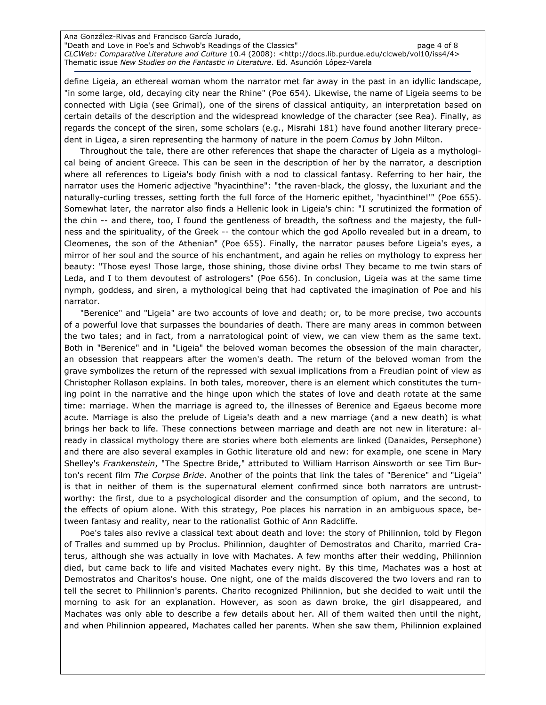Ana González-Rivas and Francisco García Jurado, "Death and Love in Poe's and Schwob's Readings of the Classics" page 4 of 8 CLCWeb: Comparative Literature and Culture 10.4 (2008): <http://docs.lib.purdue.edu/clcweb/vol10/iss4/4> Thematic issue New Studies on the Fantastic in Literature. Ed. Asunción López-Varela

define Ligeia, an ethereal woman whom the narrator met far away in the past in an idyllic landscape, "in some large, old, decaying city near the Rhine" (Poe 654). Likewise, the name of Ligeia seems to be connected with Ligia (see Grimal), one of the sirens of classical antiquity, an interpretation based on certain details of the description and the widespread knowledge of the character (see Rea). Finally, as regards the concept of the siren, some scholars (e.g., Misrahi 181) have found another literary precedent in Ligea, a siren representing the harmony of nature in the poem Comus by John Milton.

Throughout the tale, there are other references that shape the character of Ligeia as a mythological being of ancient Greece. This can be seen in the description of her by the narrator, a description where all references to Ligeia's body finish with a nod to classical fantasy. Referring to her hair, the narrator uses the Homeric adjective "hyacinthine": "the raven-black, the glossy, the luxuriant and the naturally-curling tresses, setting forth the full force of the Homeric epithet, 'hyacinthine!'" (Poe 655). Somewhat later, the narrator also finds a Hellenic look in Ligeia's chin: "I scrutinized the formation of the chin -- and there, too, I found the gentleness of breadth, the softness and the majesty, the fullness and the spirituality, of the Greek -- the contour which the god Apollo revealed but in a dream, to Cleomenes, the son of the Athenian" (Poe 655). Finally, the narrator pauses before Ligeia's eyes, a mirror of her soul and the source of his enchantment, and again he relies on mythology to express her beauty: "Those eyes! Those large, those shining, those divine orbs! They became to me twin stars of Leda, and I to them devoutest of astrologers" (Poe 656). In conclusion, Ligeia was at the same time nymph, goddess, and siren, a mythological being that had captivated the imagination of Poe and his narrator.

"Berenice" and "Ligeia" are two accounts of love and death; or, to be more precise, two accounts of a powerful love that surpasses the boundaries of death. There are many areas in common between the two tales; and in fact, from a narratological point of view, we can view them as the same text. Both in "Berenice" and in "Ligeia" the beloved woman becomes the obsession of the main character, an obsession that reappears after the women's death. The return of the beloved woman from the grave symbolizes the return of the repressed with sexual implications from a Freudian point of view as Christopher Rollason explains. In both tales, moreover, there is an element which constitutes the turning point in the narrative and the hinge upon which the states of love and death rotate at the same time: marriage. When the marriage is agreed to, the illnesses of Berenice and Egaeus become more acute. Marriage is also the prelude of Ligeia's death and a new marriage (and a new death) is what brings her back to life. These connections between marriage and death are not new in literature: already in classical mythology there are stories where both elements are linked (Danaides, Persephone) and there are also several examples in Gothic literature old and new: for example, one scene in Mary Shelley's Frankenstein, "The Spectre Bride," attributed to William Harrison Ainsworth or see Tim Burton's recent film The Corpse Bride. Another of the points that link the tales of "Berenice" and "Ligeia" is that in neither of them is the supernatural element confirmed since both narrators are untrustworthy: the first, due to a psychological disorder and the consumption of opium, and the second, to the effects of opium alone. With this strategy, Poe places his narration in an ambiguous space, between fantasy and reality, near to the rationalist Gothic of Ann Radcliffe.

Poe's tales also revive a classical text about death and love: the story of Philinnion, told by Flegon of Tralles and summed up by Proclus. Philinnion, daughter of Demostratos and Charito, married Craterus, although she was actually in love with Machates. A few months after their wedding, Philinnion died, but came back to life and visited Machates every night. By this time, Machates was a host at Demostratos and Charitos's house. One night, one of the maids discovered the two lovers and ran to tell the secret to Philinnion's parents. Charito recognized Philinnion, but she decided to wait until the morning to ask for an explanation. However, as soon as dawn broke, the girl disappeared, and Machates was only able to describe a few details about her. All of them waited then until the night, and when Philinnion appeared, Machates called her parents. When she saw them, Philinnion explained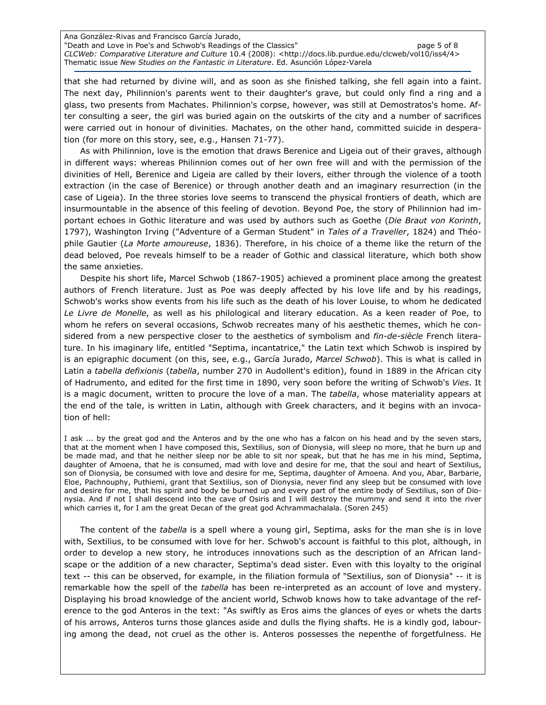Ana González-Rivas and Francisco García Jurado, "Death and Love in Poe's and Schwob's Readings of the Classics" page 5 of 8 CLCWeb: Comparative Literature and Culture 10.4 (2008): <http://docs.lib.purdue.edu/clcweb/vol10/iss4/4> Thematic issue New Studies on the Fantastic in Literature. Ed. Asunción López-Varela

that she had returned by divine will, and as soon as she finished talking, she fell again into a faint. The next day, Philinnion's parents went to their daughter's grave, but could only find a ring and a glass, two presents from Machates. Philinnion's corpse, however, was still at Demostratos's home. After consulting a seer, the girl was buried again on the outskirts of the city and a number of sacrifices were carried out in honour of divinities. Machates, on the other hand, committed suicide in desperation (for more on this story, see, e.g., Hansen 71-77).

As with Philinnion, love is the emotion that draws Berenice and Ligeia out of their graves, although in different ways: whereas Philinnion comes out of her own free will and with the permission of the divinities of Hell, Berenice and Ligeia are called by their lovers, either through the violence of a tooth extraction (in the case of Berenice) or through another death and an imaginary resurrection (in the case of Ligeia). In the three stories love seems to transcend the physical frontiers of death, which are insurmountable in the absence of this feeling of devotion. Beyond Poe, the story of Philinnion had important echoes in Gothic literature and was used by authors such as Goethe (Die Braut von Korinth, 1797), Washington Irving ("Adventure of a German Student" in Tales of a Traveller, 1824) and Théophile Gautier (La Morte amoureuse, 1836). Therefore, in his choice of a theme like the return of the dead beloved, Poe reveals himself to be a reader of Gothic and classical literature, which both show the same anxieties.

Despite his short life, Marcel Schwob (1867-1905) achieved a prominent place among the greatest authors of French literature. Just as Poe was deeply affected by his love life and by his readings, Schwob's works show events from his life such as the death of his lover Louise, to whom he dedicated Le Livre de Monelle, as well as his philological and literary education. As a keen reader of Poe, to whom he refers on several occasions, Schwob recreates many of his aesthetic themes, which he considered from a new perspective closer to the aesthetics of symbolism and fin-de-siècle French literature. In his imaginary life, entitled "Septima, incantatrice," the Latin text which Schwob is inspired by is an epigraphic document (on this, see, e.g., García Jurado, Marcel Schwob). This is what is called in Latin a tabella defixionis (tabella, number 270 in Audollent's edition), found in 1889 in the African city of Hadrumento, and edited for the first time in 1890, very soon before the writing of Schwob's Vies. It is a magic document, written to procure the love of a man. The tabella, whose materiality appears at the end of the tale, is written in Latin, although with Greek characters, and it begins with an invocation of hell:

I ask ... by the great god and the Anteros and by the one who has a falcon on his head and by the seven stars, that at the moment when I have composed this, Sextilius, son of Dionysia, will sleep no more, that he burn up and be made mad, and that he neither sleep nor be able to sit nor speak, but that he has me in his mind, Septima, daughter of Amoena, that he is consumed, mad with love and desire for me, that the soul and heart of Sextilius, son of Dionysia, be consumed with love and desire for me, Septima, daughter of Amoena. And you, Abar, Barbarie, Eloe, Pachnouphy, Puthiemi, grant that Sextilius, son of Dionysia, never find any sleep but be consumed with love and desire for me, that his spirit and body be burned up and every part of the entire body of Sextilius, son of Dionysia. And if not I shall descend into the cave of Osiris and I will destroy the mummy and send it into the river which carries it, for I am the great Decan of the great god Achrammachalala. (Soren 245)

The content of the *tabella* is a spell where a young girl, Septima, asks for the man she is in love with, Sextilius, to be consumed with love for her. Schwob's account is faithful to this plot, although, in order to develop a new story, he introduces innovations such as the description of an African landscape or the addition of a new character, Septima's dead sister. Even with this loyalty to the original text -- this can be observed, for example, in the filiation formula of "Sextilius, son of Dionysia" -- it is remarkable how the spell of the tabella has been re-interpreted as an account of love and mystery. Displaying his broad knowledge of the ancient world, Schwob knows how to take advantage of the reference to the god Anteros in the text: "As swiftly as Eros aims the glances of eyes or whets the darts of his arrows, Anteros turns those glances aside and dulls the flying shafts. He is a kindly god, labouring among the dead, not cruel as the other is. Anteros possesses the nepenthe of forgetfulness. He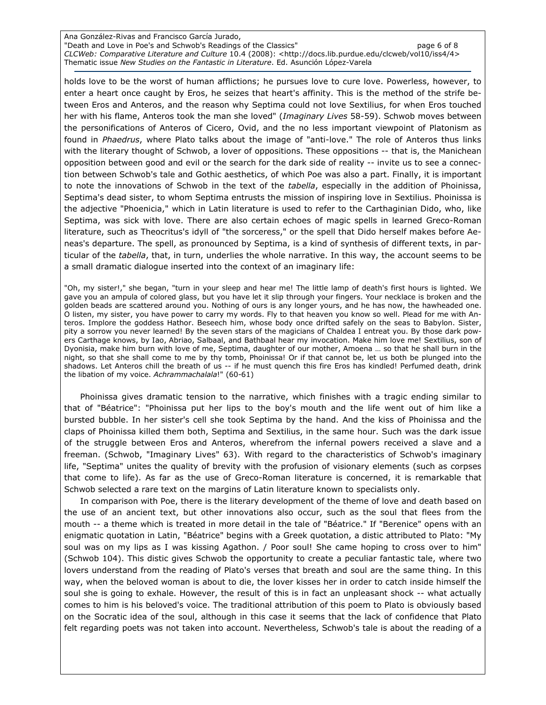Ana González-Rivas and Francisco García Jurado, "Death and Love in Poe's and Schwob's Readings of the Classics" page 6 of 8 CLCWeb: Comparative Literature and Culture 10.4 (2008): <http://docs.lib.purdue.edu/clcweb/vol10/iss4/4> Thematic issue New Studies on the Fantastic in Literature. Ed. Asunción López-Varela

holds love to be the worst of human afflictions; he pursues love to cure love. Powerless, however, to enter a heart once caught by Eros, he seizes that heart's affinity. This is the method of the strife between Eros and Anteros, and the reason why Septima could not love Sextilius, for when Eros touched her with his flame, Anteros took the man she loved" (Imaginary Lives 58-59). Schwob moves between the personifications of Anteros of Cicero, Ovid, and the no less important viewpoint of Platonism as found in Phaedrus, where Plato talks about the image of "anti-love." The role of Anteros thus links with the literary thought of Schwob, a lover of oppositions. These oppositions -- that is, the Manichean opposition between good and evil or the search for the dark side of reality -- invite us to see a connection between Schwob's tale and Gothic aesthetics, of which Poe was also a part. Finally, it is important to note the innovations of Schwob in the text of the tabella, especially in the addition of Phoinissa, Septima's dead sister, to whom Septima entrusts the mission of inspiring love in Sextilius. Phoinissa is the adjective "Phoenicia," which in Latin literature is used to refer to the Carthaginian Dido, who, like Septima, was sick with love. There are also certain echoes of magic spells in learned Greco-Roman literature, such as Theocritus's idyll of "the sorceress," or the spell that Dido herself makes before Aeneas's departure. The spell, as pronounced by Septima, is a kind of synthesis of different texts, in particular of the tabella, that, in turn, underlies the whole narrative. In this way, the account seems to be a small dramatic dialogue inserted into the context of an imaginary life:

"Oh, my sister!," she began, "turn in your sleep and hear me! The little lamp of death's first hours is lighted. We gave you an ampula of colored glass, but you have let it slip through your fingers. Your necklace is broken and the golden beads are scattered around you. Nothing of ours is any longer yours, and he has now, the hawheaded one. O listen, my sister, you have power to carry my words. Fly to that heaven you know so well. Plead for me with Anteros. Implore the goddess Hathor. Beseech him, whose body once drifted safely on the seas to Babylon. Sister, pity a sorrow you never learned! By the seven stars of the magicians of Chaldea I entreat you. By those dark powers Carthage knows, by Iao, Abriao, Salbaal, and Bathbaal hear my invocation. Make him love me! Sextilius, son of Dyonisia, make him burn with love of me, Septima, daughter of our mother, Amoena … so that he shall burn in the night, so that she shall come to me by thy tomb, Phoinissa! Or if that cannot be, let us both be plunged into the shadows. Let Anteros chill the breath of us -- if he must quench this fire Eros has kindled! Perfumed death, drink the libation of my voice. Achrammachalala!" (60-61)

Phoinissa gives dramatic tension to the narrative, which finishes with a tragic ending similar to that of "Béatrice": "Phoinissa put her lips to the boy's mouth and the life went out of him like a bursted bubble. In her sister's cell she took Septima by the hand. And the kiss of Phoinissa and the claps of Phoinissa killed them both, Septima and Sextilius, in the same hour. Such was the dark issue of the struggle between Eros and Anteros, wherefrom the infernal powers received a slave and a freeman. (Schwob, "Imaginary Lives" 63). With regard to the characteristics of Schwob's imaginary life, "Septima" unites the quality of brevity with the profusion of visionary elements (such as corpses that come to life). As far as the use of Greco-Roman literature is concerned, it is remarkable that Schwob selected a rare text on the margins of Latin literature known to specialists only.

In comparison with Poe, there is the literary development of the theme of love and death based on the use of an ancient text, but other innovations also occur, such as the soul that flees from the mouth -- a theme which is treated in more detail in the tale of "Béatrice." If "Berenice" opens with an enigmatic quotation in Latin, "Béatrice" begins with a Greek quotation, a distic attributed to Plato: "My soul was on my lips as I was kissing Agathon. / Poor soul! She came hoping to cross over to him" (Schwob 104). This distic gives Schwob the opportunity to create a peculiar fantastic tale, where two lovers understand from the reading of Plato's verses that breath and soul are the same thing. In this way, when the beloved woman is about to die, the lover kisses her in order to catch inside himself the soul she is going to exhale. However, the result of this is in fact an unpleasant shock -- what actually comes to him is his beloved's voice. The traditional attribution of this poem to Plato is obviously based on the Socratic idea of the soul, although in this case it seems that the lack of confidence that Plato felt regarding poets was not taken into account. Nevertheless, Schwob's tale is about the reading of a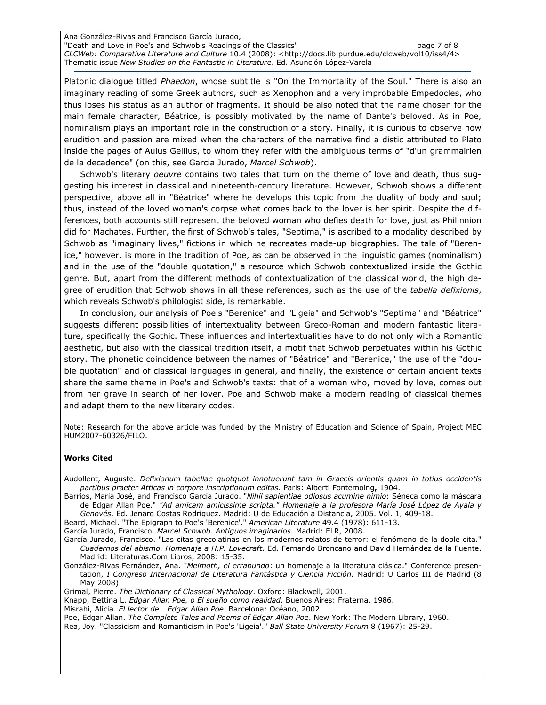Ana González-Rivas and Francisco García Jurado, "Death and Love in Poe's and Schwob's Readings of the Classics" examples the page 7 of 8 CLCWeb: Comparative Literature and Culture 10.4 (2008): <http://docs.lib.purdue.edu/clcweb/vol10/iss4/4> Thematic issue New Studies on the Fantastic in Literature. Ed. Asunción López-Varela

Platonic dialogue titled Phaedon, whose subtitle is "On the Immortality of the Soul." There is also an imaginary reading of some Greek authors, such as Xenophon and a very improbable Empedocles, who thus loses his status as an author of fragments. It should be also noted that the name chosen for the main female character, Béatrice, is possibly motivated by the name of Dante's beloved. As in Poe, nominalism plays an important role in the construction of a story. Finally, it is curious to observe how erudition and passion are mixed when the characters of the narrative find a distic attributed to Plato inside the pages of Aulus Gellius, to whom they refer with the ambiguous terms of "d'un grammairien de la decadence" (on this, see Garcia Jurado, Marcel Schwob).

Schwob's literary oeuvre contains two tales that turn on the theme of love and death, thus suggesting his interest in classical and nineteenth-century literature. However, Schwob shows a different perspective, above all in "Béatrice" where he develops this topic from the duality of body and soul; thus, instead of the loved woman's corpse what comes back to the lover is her spirit. Despite the differences, both accounts still represent the beloved woman who defies death for love, just as Philinnion did for Machates. Further, the first of Schwob's tales, "Septima," is ascribed to a modality described by Schwob as "imaginary lives," fictions in which he recreates made-up biographies. The tale of "Berenice," however, is more in the tradition of Poe, as can be observed in the linguistic games (nominalism) and in the use of the "double quotation," a resource which Schwob contextualized inside the Gothic genre. But, apart from the different methods of contextualization of the classical world, the high degree of erudition that Schwob shows in all these references, such as the use of the tabella defixionis, which reveals Schwob's philologist side, is remarkable.

In conclusion, our analysis of Poe's "Berenice" and "Ligeia" and Schwob's "Septima" and "Béatrice" suggests different possibilities of intertextuality between Greco-Roman and modern fantastic literature, specifically the Gothic. These influences and intertextualities have to do not only with a Romantic aesthetic, but also with the classical tradition itself, a motif that Schwob perpetuates within his Gothic story. The phonetic coincidence between the names of "Béatrice" and "Berenice," the use of the "double quotation" and of classical languages in general, and finally, the existence of certain ancient texts share the same theme in Poe's and Schwob's texts: that of a woman who, moved by love, comes out from her grave in search of her lover. Poe and Schwob make a modern reading of classical themes and adapt them to the new literary codes.

Note: Research for the above article was funded by the Ministry of Education and Science of Spain, Project MEC HUM2007-60326/FILO.

#### Works Cited

Audollent, Auguste. Defixionum tabellae quotquot innotuerunt tam in Graecis orientis quam in totius occidentis partibus praeter Atticas in corpore inscriptionum editas. Paris: Alberti Fontemoing, 1904.

Barrios, María José, and Francisco García Jurado. "Nihil sapientiae odiosus acumine nimio: Séneca como la máscara de Edgar Allan Poe." "Ad amicam amicissime scripta." Homenaje a la profesora María José López de Ayala y Genovés. Ed. Jenaro Costas Rodríguez. Madrid: U de Educación a Distancia, 2005. Vol. 1, 409-18.

Beard, Michael. "The Epigraph to Poe's 'Berenice'." American Literature 49.4 (1978): 611-13.

García Jurado, Francisco. Marcel Schwob. Antiguos imaginarios. Madrid: ELR, 2008.

García Jurado, Francisco. "Las citas grecolatinas en los modernos relatos de terror: el fenómeno de la doble cita." Cuadernos del abismo. Homenaje a H.P. Lovecraft. Ed. Fernando Broncano and David Hernández de la Fuente. Madrid: Literaturas.Com Libros, 2008: 15-35.

González-Rivas Fernández, Ana. "Melmoth, el errabundo: un homenaje a la literatura clásica." Conference presentation, I Congreso Internacional de Literatura Fantástica y Ciencia Ficción. Madrid: U Carlos III de Madrid (8 May 2008).

Grimal, Pierre. The Dictionary of Classical Mythology. Oxford: Blackwell, 2001.

Knapp, Bettina L. Edgar Allan Poe, o El sueño como realidad. Buenos Aires: Fraterna, 1986.

Misrahi, Alicia. El lector de… Edgar Allan Poe. Barcelona: Océano, 2002.

Poe, Edgar Allan. The Complete Tales and Poems of Edgar Allan Poe. New York: The Modern Library, 1960. Rea, Joy. "Classicism and Romanticism in Poe's 'Ligeia'." Ball State University Forum 8 (1967): 25-29.